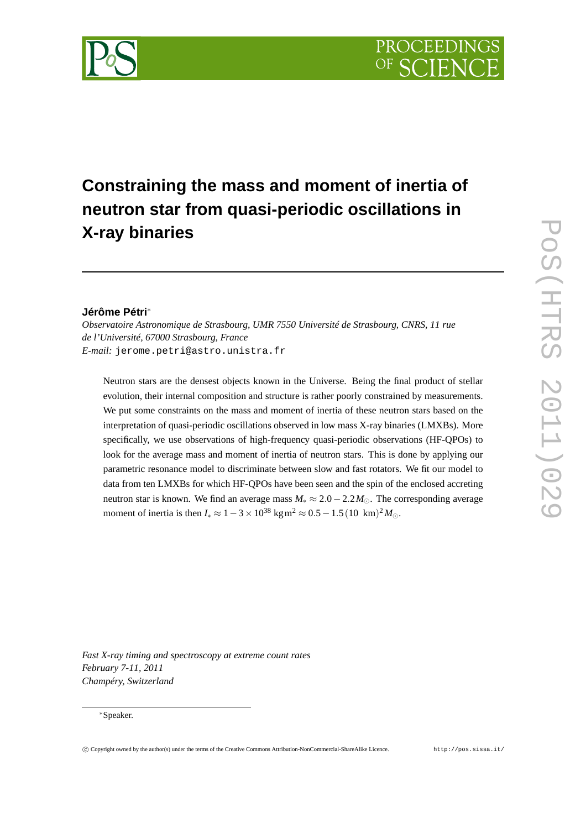

# **Constraining the mass and moment of inertia of neutron star from quasi-periodic oscillations in X-ray binaries**

# **Jérôme Pétri**∗

*Observatoire Astronomique de Strasbourg, UMR 7550 Université de Strasbourg, CNRS, 11 rue de l'Université, 67000 Strasbourg, France E-mail:* jerome.petri@astro.unistra.fr

Neutron stars are the densest objects known in the Universe. Being the final product of stellar evolution, their internal composition and structure is rather poorly constrained by measurements. We put some constraints on the mass and moment of inertia of these neutron stars based on the interpretation of quasi-periodic oscillations observed in low mass X-ray binaries (LMXBs). More specifically, we use observations of high-frequency quasi-periodic observations (HF-QPOs) to look for the average mass and moment of inertia of neutron stars. This is done by applying our parametric resonance model to discriminate between slow and fast rotators. We fit our model to data from ten LMXBs for which HF-QPOs have been seen and the spin of the enclosed accreting neutron star is known. We find an average mass  $M_* \approx 2.0 - 2.2 M_{\odot}$ . The corresponding average moment of inertia is then  $I_* \approx 1 - 3 \times 10^{38} \text{ kg m}^2 \approx 0.5 - 1.5(10 \text{ km})^2 M_{\odot}$ .

POS(HTRS 2011)029 PoS(HTRS 2011)029

*Fast X-ray timing and spectroscopy at extreme count rates February 7-11, 2011 Champéry, Switzerland*

#### ∗Speaker.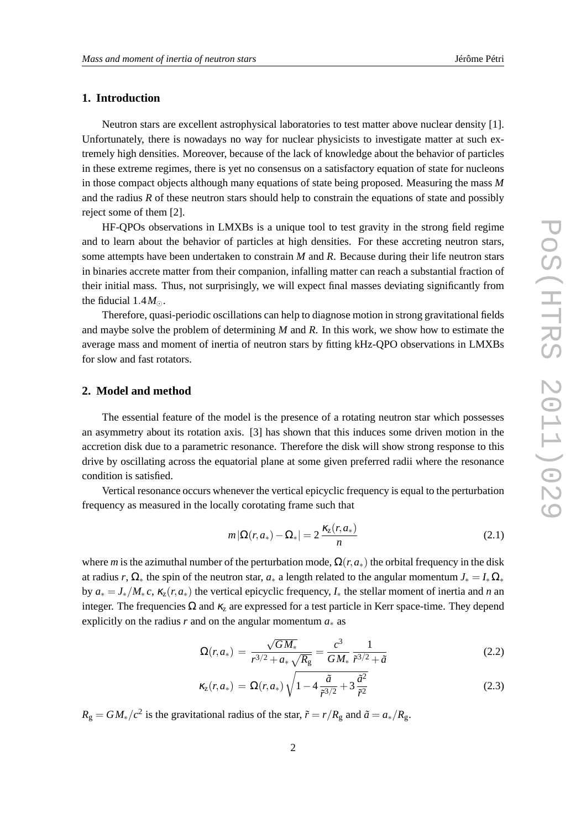## **1. Introduction**

Neutron stars are excellent astrophysical laboratories to test matter above nuclear density [1]. Unfortunately, there is nowadays no way for nuclear physicists to investigate matter at such extremely high densities. Moreover, because of the lack of knowledge about the behavior of particles in these extreme regimes, there is yet no consensus on a satisfactory equation of state for nucleons in those compact objects although many equations of state being proposed. Measuring the mass *M* and the radius *R* of these neutron stars should help to constrain the equations of state and possibly reject some of them [2].

HF-QPOs observations in LMXBs is a unique tool to test gravity in the strong field regime and to learn about the behavior of particles at high densities. For these accreting neutron stars, some attempts have been undertaken to constrain *M* and *R*. Because during their life neutron stars in binaries accrete matter from their companion, infalling matter can reach a substantial fraction of their initial mass. Thus, not surprisingly, we will expect final masses deviating significantly from the fiducial  $1.4M_{\odot}$ .

Therefore, quasi-periodic oscillations can help to diagnose motion in strong gravitational fields and maybe solve the problem of determining *M* and *R*. In this work, we show how to estimate the average mass and moment of inertia of neutron stars by fitting kHz-QPO observations in LMXBs for slow and fast rotators.

### **2. Model and method**

The essential feature of the model is the presence of a rotating neutron star which possesses an asymmetry about its rotation axis. [3] has shown that this induces some driven motion in the accretion disk due to a parametric resonance. Therefore the disk will show strong response to this drive by oscillating across the equatorial plane at some given preferred radii where the resonance condition is satisfied.

Vertical resonance occurs whenever the vertical epicyclic frequency is equal to the perturbation frequency as measured in the locally corotating frame such that

$$
m\left|\Omega(r,a_*) - \Omega_*\right| = 2\frac{\kappa_z(r,a_*)}{n} \tag{2.1}
$$

where *m* is the azimuthal number of the perturbation mode,  $\Omega(r, a_*)$  the orbital frequency in the disk at radius *r*,  $\Omega_*$  the spin of the neutron star,  $a_*$  a length related to the angular momentum  $J_* = I_* \Omega_*$ by  $a_* = J_*/M_*c$ ,  $\kappa_z(r,a_*)$  the vertical epicyclic frequency,  $I_*$  the stellar moment of inertia and *n* and integer. The frequencies  $\Omega$  and  $\kappa$ <sub>z</sub> are expressed for a test particle in Kerr space-time. They depend explicitly on the radius *r* and on the angular momentum  $a_*$  as

$$
\Omega(r, a_*) = \frac{\sqrt{GM_*}}{r^{3/2} + a_*\sqrt{R_{\rm g}}} = \frac{c^3}{GM_*} \frac{1}{\tilde{r}^{3/2} + \tilde{a}}
$$
(2.2)

$$
\kappa_{z}(r, a_{*}) = \Omega(r, a_{*}) \sqrt{1 - 4 \frac{\tilde{a}}{\tilde{r}^{3/2}} + 3 \frac{\tilde{a}^{2}}{\tilde{r}^{2}}}
$$
(2.3)

 $R_{\rm g} = G M_*/c^2$  is the gravitational radius of the star,  $\tilde{r} = r/R_{\rm g}$  and  $\tilde{a} = a_*/R_{\rm g}$ .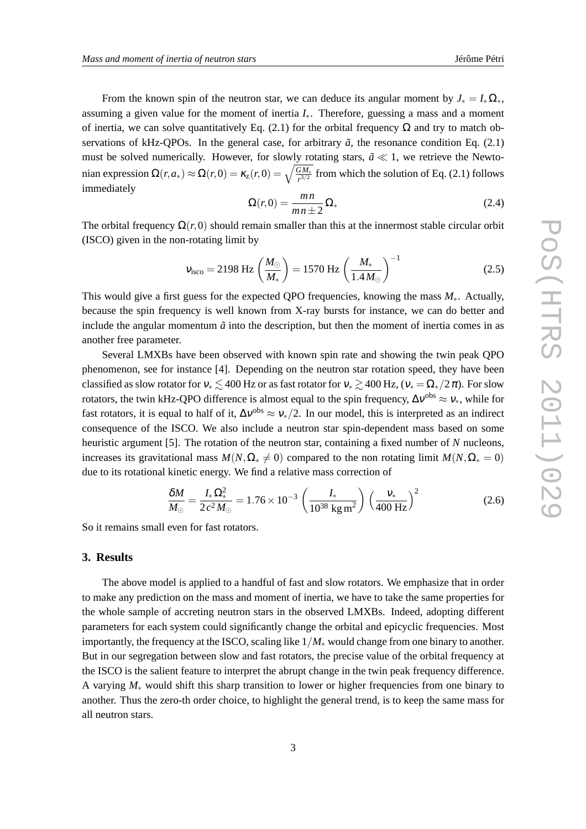From the known spin of the neutron star, we can deduce its angular moment by  $J_* = I_* \Omega_*$ , assuming a given value for the moment of inertia  $I_{*}$ . Therefore, guessing a mass and a moment of inertia, we can solve quantitatively Eq. (2.1) for the orbital frequency  $\Omega$  and try to match observations of kHz-QPOs. In the general case, for arbitrary  $\tilde{a}$ , the resonance condition Eq. (2.1) must be solved numerically. However, for slowly rotating stars,  $\tilde{a} \ll 1$ , we retrieve the Newtonian expression  $\Omega(r, a_*) \approx \Omega(r, 0) = \kappa_z(r, 0) = \sqrt{\frac{GM_*}{r^{3/2}}}$  from which the solution of Eq. (2.1) follows immediately

$$
\Omega(r,0) = \frac{mn}{mn \pm 2} \Omega_* \tag{2.4}
$$

The orbital frequency  $\Omega(r,0)$  should remain smaller than this at the innermost stable circular orbit (ISCO) given in the non-rotating limit by

$$
v_{\rm isco} = 2198 \text{ Hz} \left(\frac{M_{\odot}}{M_{*}}\right) = 1570 \text{ Hz} \left(\frac{M_{*}}{1.4 M_{\odot}}\right)^{-1} \tag{2.5}
$$

This would give a first guess for the expected QPO frequencies, knowing the mass *M*∗. Actually, because the spin frequency is well known from X-ray bursts for instance, we can do better and include the angular momentum  $\tilde{a}$  into the description, but then the moment of inertia comes in as another free parameter.

Several LMXBs have been observed with known spin rate and showing the twin peak QPO phenomenon, see for instance [4]. Depending on the neutron star rotation speed, they have been classified as slow rotator for  $v_* \lesssim 400$  Hz or as fast rotator for  $v_* \gtrsim 400$  Hz,  $(v_* = \Omega_*/2\pi)$ . For slow rotators, the twin kHz-QPO difference is almost equal to the spin frequency,  $\Delta v^{obs} \approx v_*$ , while for fast rotators, it is equal to half of it,  $\Delta v^{obs} \approx v_*/2$ . In our model, this is interpreted as an indirect consequence of the ISCO. We also include a neutron star spin-dependent mass based on some heuristic argument [5]. The rotation of the neutron star, containing a fixed number of *N* nucleons, increases its gravitational mass  $M(N, \Omega_* \neq 0)$  compared to the non rotating limit  $M(N, \Omega_* = 0)$ due to its rotational kinetic energy. We find a relative mass correction of

$$
\frac{\delta M}{M_{\odot}} = \frac{I_* \Omega_*^2}{2 c^2 M_{\odot}} = 1.76 \times 10^{-3} \left( \frac{I_*}{10^{38} \text{ kg m}^2} \right) \left( \frac{v_*}{400 \text{ Hz}} \right)^2 \tag{2.6}
$$

So it remains small even for fast rotators.

#### **3. Results**

The above model is applied to a handful of fast and slow rotators. We emphasize that in order to make any prediction on the mass and moment of inertia, we have to take the same properties for the whole sample of accreting neutron stars in the observed LMXBs. Indeed, adopting different parameters for each system could significantly change the orbital and epicyclic frequencies. Most importantly, the frequency at the ISCO, scaling like 1/*M*<sup>∗</sup> would change from one binary to another. But in our segregation between slow and fast rotators, the precise value of the orbital frequency at the ISCO is the salient feature to interpret the abrupt change in the twin peak frequency difference. A varying *M*<sup>∗</sup> would shift this sharp transition to lower or higher frequencies from one binary to another. Thus the zero-th order choice, to highlight the general trend, is to keep the same mass for all neutron stars.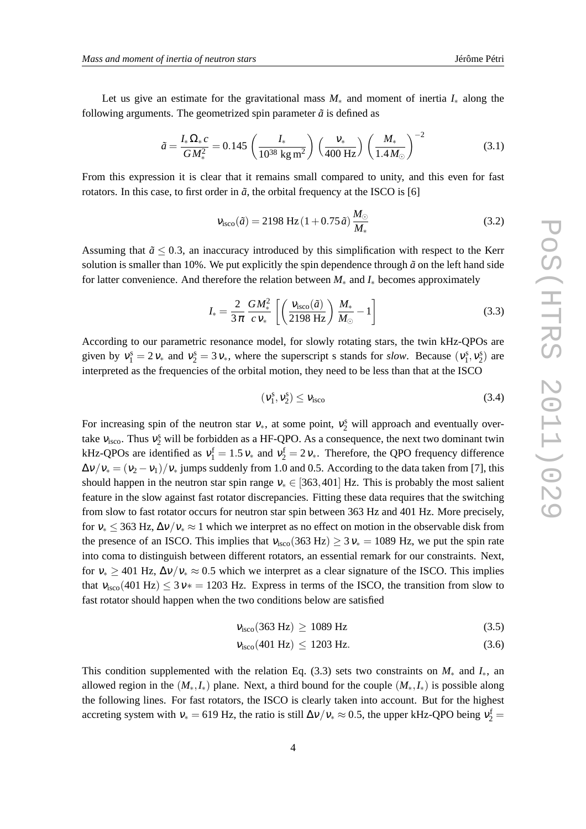Let us give an estimate for the gravitational mass *M*<sup>∗</sup> and moment of inertia *I*<sup>∗</sup> along the following arguments. The geometrized spin parameter  $\tilde{a}$  is defined as

$$
\tilde{a} = \frac{I_* \Omega_* c}{GM_*^2} = 0.145 \left( \frac{I_*}{10^{38} \text{ kg m}^2} \right) \left( \frac{v_*}{400 \text{ Hz}} \right) \left( \frac{M_*}{1.4 M_\odot} \right)^{-2} \tag{3.1}
$$

From this expression it is clear that it remains small compared to unity, and this even for fast rotators. In this case, to first order in  $\tilde{a}$ , the orbital frequency at the ISCO is [6]

$$
v_{\rm isco}(\tilde{a}) = 2198 \, \text{Hz} \left( 1 + 0.75 \tilde{a} \right) \frac{M_{\odot}}{M_{*}} \tag{3.2}
$$

Assuming that  $\tilde{a} \leq 0.3$ , an inaccuracy introduced by this simplification with respect to the Kerr solution is smaller than 10%. We put explicitly the spin dependence through  $\tilde{a}$  on the left hand side for latter convenience. And therefore the relation between *M*<sup>∗</sup> and *I*<sup>∗</sup> becomes approximately

$$
I_{*} = \frac{2}{3\pi} \frac{GM_{*}^{2}}{c \, V_{*}} \left[ \left( \frac{V_{\text{isco}}(\tilde{a})}{2198 \, \text{Hz}} \right) \frac{M_{*}}{M_{\odot}} - 1 \right]
$$
 (3.3)

According to our parametric resonance model, for slowly rotating stars, the twin kHz-QPOs are given by  $v_1^s = 2v_*$  and  $v_2^s = 3v_*$ , where the superscript s stands for *slow*. Because  $(v_1^s, v_2^s)$  are interpreted as the frequencies of the orbital motion, they need to be less than that at the ISCO

$$
(\mathbf{v}_1^s, \mathbf{v}_2^s) \le \mathbf{v}_{\text{isco}} \tag{3.4}
$$

For increasing spin of the neutron star  $v_*,$  at some point,  $v_2^s$  will approach and eventually overtake  $v_{\text{isco}}$ . Thus  $v_2^s$  will be forbidden as a HF-QPO. As a consequence, the next two dominant twin kHz-QPOs are identified as  $v_1^f = 1.5 v_*$  and  $v_2^f = 2 v_*$ . Therefore, the QPO frequency difference  $\Delta v/v_1 = (v_2 - v_1)/v_*$  jumps suddenly from 1.0 and 0.5. According to the data taken from [7], this should happen in the neutron star spin range  $v_* \in [363, 401]$  Hz. This is probably the most salient feature in the slow against fast rotator discrepancies. Fitting these data requires that the switching from slow to fast rotator occurs for neutron star spin between 363 Hz and 401 Hz. More precisely, for  $v_* < 363$  Hz,  $\Delta v / v_* \approx 1$  which we interpret as no effect on motion in the observable disk from the presence of an ISCO. This implies that  $v_{\text{isco}}(363 \text{ Hz}) \ge 3v_* = 1089 \text{ Hz}$ , we put the spin rate into coma to distinguish between different rotators, an essential remark for our constraints. Next, for  $v_* \ge 401$  Hz,  $\Delta v/v_* \approx 0.5$  which we interpret as a clear signature of the ISCO. This implies that  $v_{\text{isco}}(401 \text{ Hz}) \leq 3 \text{ v} = 1203 \text{ Hz}$ . Express in terms of the ISCO, the transition from slow to fast rotator should happen when the two conditions below are satisfied

$$
v_{\rm isco}(363 \text{ Hz}) \ge 1089 \text{ Hz}
$$
\n
$$
(3.5)
$$

$$
v_{\rm isco}(401 \text{ Hz}) \le 1203 \text{ Hz}.\tag{3.6}
$$

This condition supplemented with the relation Eq. (3.3) sets two constraints on  $M_*$  and  $I_*$ , an allowed region in the  $(M_*,I_*)$  plane. Next, a third bound for the couple  $(M_*,I_*)$  is possible along the following lines. For fast rotators, the ISCO is clearly taken into account. But for the highest accreting system with  $v_* = 619$  Hz, the ratio is still  $\Delta v/v_* \approx 0.5$ , the upper kHz-QPO being  $v_2^f =$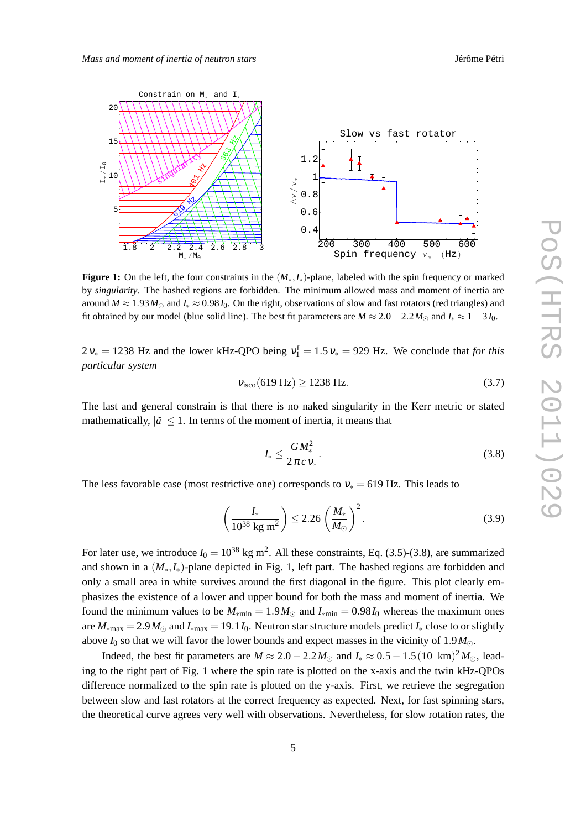

**Figure 1:** On the left, the four constraints in the (*M*∗,*I*∗)-plane, labeled with the spin frequency or marked by *singularity*. The hashed regions are forbidden. The minimum allowed mass and moment of inertia are around  $M \approx 1.93 M_{\odot}$  and  $I_* \approx 0.98 I_0$ . On the right, observations of slow and fast rotators (red triangles) and fit obtained by our model (blue solid line). The best fit parameters are  $M \approx 2.0 - 2.2 M_{\odot}$  and  $I_* \approx 1 - 3 I_0$ .

 $2v_* = 1238$  Hz and the lower kHz-QPO being  $v_1^f = 1.5v_* = 929$  Hz. We conclude that *for this particular system*

$$
v_{\rm isco}(619 \text{ Hz}) \ge 1238 \text{ Hz}.\tag{3.7}
$$

The last and general constrain is that there is no naked singularity in the Kerr metric or stated mathematically,  $|\tilde{a}| \leq 1$ . In terms of the moment of inertia, it means that

$$
I_* \le \frac{GM_*^2}{2\pi c v_*}.\tag{3.8}
$$

The less favorable case (most restrictive one) corresponds to  $v_* = 619$  Hz. This leads to

$$
\left(\frac{I_*}{10^{38} \text{ kg m}^2}\right) \le 2.26 \left(\frac{M_*}{M_\odot}\right)^2.
$$
\n(3.9)

For later use, we introduce  $I_0 = 10^{38}$  kg m<sup>2</sup>. All these constraints, Eq. (3.5)-(3.8), are summarized and shown in a  $(M_*,I_*)$ -plane depicted in Fig. 1, left part. The hashed regions are forbidden and only a small area in white survives around the first diagonal in the figure. This plot clearly emphasizes the existence of a lower and upper bound for both the mass and moment of inertia. We found the minimum values to be  $M_{\text{min}} = 1.9 M_{\odot}$  and  $I_{\text{min}} = 0.98 I_0$  whereas the maximum ones are  $M_{\rm{max}} = 2.9 M_{\odot}$  and  $I_{\rm{max}} = 19.1 I_0$ . Neutron star structure models predict  $I_*$  close to or slightly above  $I_0$  so that we will favor the lower bounds and expect masses in the vicinity of 1.9 $M_{\odot}$ .

Indeed, the best fit parameters are  $M \approx 2.0 - 2.2 M_{\odot}$  and  $I_* \approx 0.5 - 1.5(10 \text{ km})^2 M_{\odot}$ , leading to the right part of Fig. 1 where the spin rate is plotted on the x-axis and the twin kHz-QPOs difference normalized to the spin rate is plotted on the y-axis. First, we retrieve the segregation between slow and fast rotators at the correct frequency as expected. Next, for fast spinning stars, the theoretical curve agrees very well with observations. Nevertheless, for slow rotation rates, the